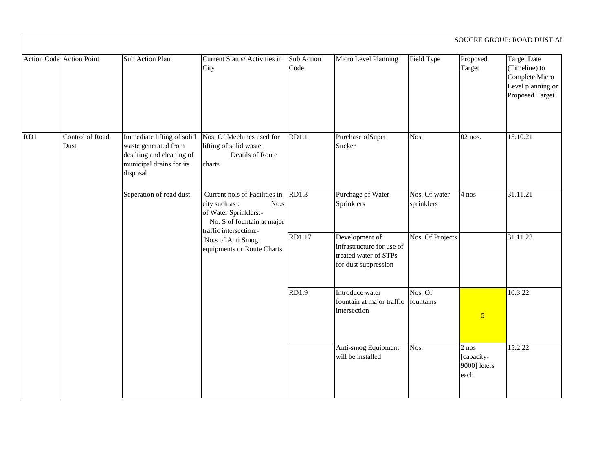| Action Code Action Point |                                | Sub Action Plan                                                                                                         | Current Status/ Activities in                                                                                                            | Sub Action   | Micro Level Planning                                                                         | Field Type                  | Proposed                                      | <b>Target Date</b>                                                      |
|--------------------------|--------------------------------|-------------------------------------------------------------------------------------------------------------------------|------------------------------------------------------------------------------------------------------------------------------------------|--------------|----------------------------------------------------------------------------------------------|-----------------------------|-----------------------------------------------|-------------------------------------------------------------------------|
|                          |                                |                                                                                                                         | City                                                                                                                                     | Code         |                                                                                              |                             | Target                                        | (Timeline) to<br>Complete Micro<br>Level planning or<br>Proposed Target |
| RD1                      | <b>Control of Road</b><br>Dust | Immediate lifting of solid<br>waste generated from<br>desilting and cleaning of<br>municipal drains for its<br>disposal | Nos. Of Mechines used for<br>lifting of solid waste.<br>Deatils of Route<br>charts                                                       | RD1.1        | Purchase ofSuper<br>Sucker                                                                   | Nos.                        | $02$ nos.                                     | 15.10.21                                                                |
|                          |                                | Seperation of road dust                                                                                                 | Current no.s of Facilities in<br>city such as :<br>No.s<br>of Water Sprinklers:-<br>No. S of fountain at major<br>traffic intersection:- | RD1.3        | Purchage of Water<br>Sprinklers                                                              | Nos. Of water<br>sprinklers | 4 nos                                         | 31.11.21                                                                |
|                          |                                |                                                                                                                         | No.s of Anti Smog<br>equipments or Route Charts                                                                                          | RD1.17       | Development of<br>infrastructure for use of<br>treated water of STPs<br>for dust suppression | Nos. Of Projects            |                                               | 31.11.23                                                                |
|                          |                                |                                                                                                                         |                                                                                                                                          | <b>RD1.9</b> | Introduce water<br>fountain at major traffic fountains<br>intersection                       | Nos. Of                     | $\overline{5}$                                | 10.3.22                                                                 |
|                          |                                |                                                                                                                         |                                                                                                                                          |              | Anti-smog Equipment<br>will be installed                                                     | Nos.                        | $2$ nos<br>[capacity-<br>9000] leters<br>each | 15.2.22                                                                 |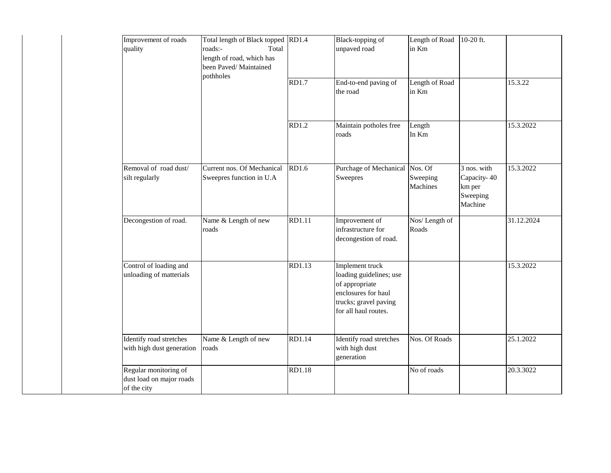| Improvement of roads<br>quality                                  | Total length of Black topped RD1.4<br>roads:-<br>Total<br>length of road, which has<br>been Paved/Maintained<br>pothholes |                   | Black-topping of<br>unpaved road                                                                                                     | Length of Road<br>in Km | 10-20 ft.                                                   |            |
|------------------------------------------------------------------|---------------------------------------------------------------------------------------------------------------------------|-------------------|--------------------------------------------------------------------------------------------------------------------------------------|-------------------------|-------------------------------------------------------------|------------|
|                                                                  |                                                                                                                           | RD1.7             | End-to-end paving of<br>the road                                                                                                     | Length of Road<br>in Km |                                                             | 15.3.22    |
|                                                                  |                                                                                                                           | RD1.2             | Maintain potholes free<br>roads                                                                                                      | Length<br>In Km         |                                                             | 15.3.2022  |
| Removal of road dust/<br>silt regularly                          | Current nos. Of Mechanical<br>Sweepres function in U.A                                                                    | R <sub>D1.6</sub> | Purchage of Mechanical Nos. Of<br>Sweepres                                                                                           | Sweeping<br>Machines    | 3 nos. with<br>Capacity-40<br>km per<br>Sweeping<br>Machine | 15.3.2022  |
| Decongestion of road.                                            | Name & Length of new<br>roads                                                                                             | <b>RD1.11</b>     | Improvement of<br>infrastructure for<br>decongestion of road.                                                                        | Nos/Length of<br>Roads  |                                                             | 31.12.2024 |
| Control of loading and<br>unloading of matterials                |                                                                                                                           | RD1.13            | Implement truck<br>loading guidelines; use<br>of appropriate<br>enclosures for haul<br>trucks; gravel paving<br>for all haul routes. |                         |                                                             | 15.3.2022  |
| Identify road stretches<br>with high dust generation             | Name & Length of new<br>roads                                                                                             | RD1.14            | Identify road stretches<br>with high dust<br>generation                                                                              | Nos. Of Roads           |                                                             | 25.1.2022  |
| Regular monitoring of<br>dust load on major roads<br>of the city |                                                                                                                           | <b>RD1.18</b>     |                                                                                                                                      | No of roads             |                                                             | 20.3.3022  |

 $\overline{\phantom{a}}$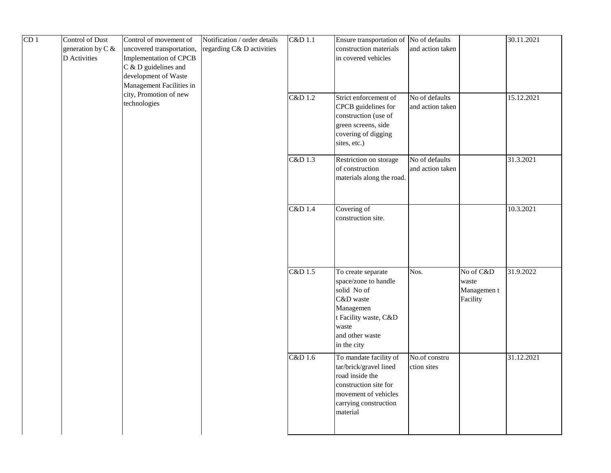| CD <sub>1</sub> | Control of Dust<br>generation by C &<br>D Activities | Control of movement of<br>uncovered transportation,<br>Implementation of CPCB<br>C & D guidelines and<br>development of Waste<br>Management Facilities in | Notification / order details<br>regarding C& D activities | C&D 1.1 | Ensure transportation of No of defaults<br>construction materials<br>in covered vehicles                                                                  | and action taken                   |                                               | 30.11.2021 |
|-----------------|------------------------------------------------------|-----------------------------------------------------------------------------------------------------------------------------------------------------------|-----------------------------------------------------------|---------|-----------------------------------------------------------------------------------------------------------------------------------------------------------|------------------------------------|-----------------------------------------------|------------|
|                 |                                                      | city, Promotion of new<br>technologies                                                                                                                    |                                                           | C&D 1.2 | Strict enforcement of<br>CPCB guidelines for<br>construction (use of<br>green screens, side<br>covering of digging<br>sites, etc.)                        | No of defaults<br>and action taken |                                               | 15.12.2021 |
|                 |                                                      |                                                                                                                                                           |                                                           | C&D 1.3 | Restriction on storage<br>of construction<br>materials along the road.                                                                                    | No of defaults<br>and action taken |                                               | 31.3.2021  |
|                 |                                                      |                                                                                                                                                           |                                                           | C&D 1.4 | Covering of<br>construction site.                                                                                                                         |                                    |                                               | 10.3.2021  |
|                 |                                                      |                                                                                                                                                           |                                                           | C&D 1.5 | To create separate<br>space/zone to handle<br>solid No of<br>C&D waste<br>Managemen<br>t Facility waste, C&D<br>waste<br>and other waste<br>in the city   | Nos.                               | No of C&D<br>waste<br>Managemen t<br>Facility | 31.9.2022  |
|                 |                                                      |                                                                                                                                                           |                                                           | C&D 1.6 | To mandate facility of<br>tar/brick/gravel lined<br>road inside the<br>construction site for<br>movement of vehicles<br>carrying construction<br>material | No.of constru<br>ction sites       |                                               | 31.12.2021 |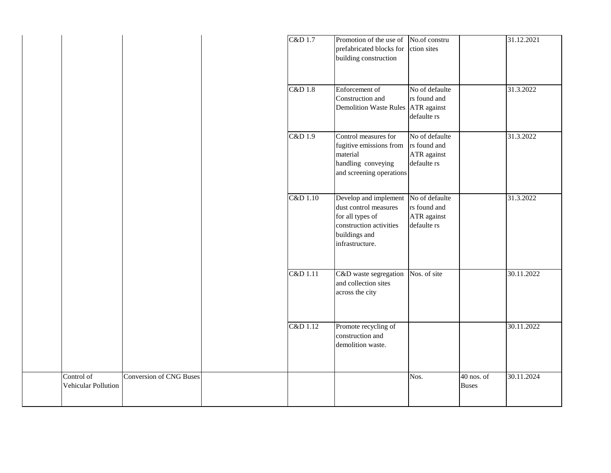|                                   |                                | C&D 1.7  | Promotion of the use of<br>prefabricated blocks for<br>building construction                                                      | No.of constru<br>ction sites                                 |                              | 31.12.2021 |
|-----------------------------------|--------------------------------|----------|-----------------------------------------------------------------------------------------------------------------------------------|--------------------------------------------------------------|------------------------------|------------|
|                                   |                                | C&D 1.8  | Enforcement of<br>Construction and<br>Demolition Waste Rules ATR against                                                          | No of defaulte<br>rs found and<br>defaulte rs                |                              | 31.3.2022  |
|                                   |                                | C&D 1.9  | Control measures for<br>fugitive emissions from<br>material<br>handling conveying<br>and screening operations                     | No of defaulte<br>rs found and<br>ATR against<br>defaulte rs |                              | 31.3.2022  |
|                                   |                                | C&D 1.10 | Develop and implement<br>dust control measures<br>for all types of<br>construction activities<br>buildings and<br>infrastructure. | No of defaulte<br>rs found and<br>ATR against<br>defaulte rs |                              | 31.3.2022  |
|                                   |                                | C&D 1.11 | C&D waste segregation<br>and collection sites<br>across the city                                                                  | Nos. of site                                                 |                              | 30.11.2022 |
|                                   |                                | C&D 1.12 | Promote recycling of<br>construction and<br>demolition waste.                                                                     |                                                              |                              | 30.11.2022 |
| Control of<br>Vehicular Pollution | <b>Conversion of CNG Buses</b> |          |                                                                                                                                   | Nos.                                                         | $40$ nos. of<br><b>Buses</b> | 30.11.2024 |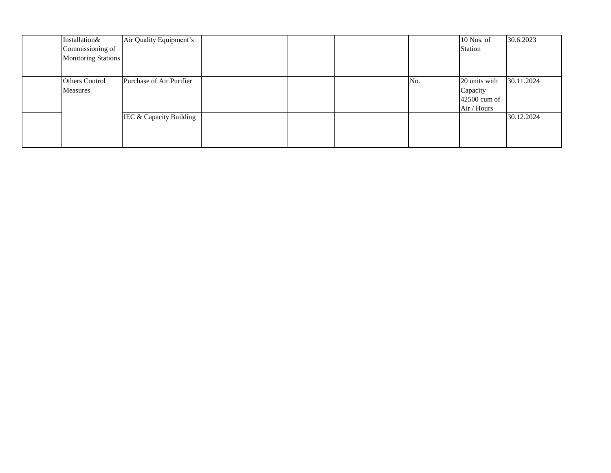| Installation&              | Air Quality Equipment's  |  |     | 10 Nos. of    | 30.6.2023  |
|----------------------------|--------------------------|--|-----|---------------|------------|
| Commissioning of           |                          |  |     | Station       |            |
| <b>Monitoring Stations</b> |                          |  |     |               |            |
|                            |                          |  |     |               |            |
| <b>Others Control</b>      | Purchase of Air Purifier |  | No. | 20 units with | 30.11.2024 |
| Measures                   |                          |  |     | Capacity      |            |
|                            |                          |  |     | 42500 cum of  |            |
|                            |                          |  |     | Air / Hours   |            |
|                            | IEC & Capacity Building  |  |     |               | 30.12.2024 |
|                            |                          |  |     |               |            |
|                            |                          |  |     |               |            |
|                            |                          |  |     |               |            |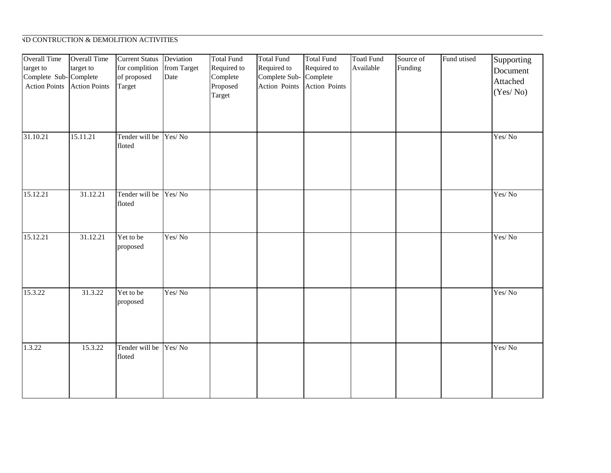## **SOUCH AND CONTRUCTION & DEMOLITION ACTIVITIES**

| <b>Overall Time</b><br>target to<br>Complete Sub-Complete<br><b>Action Points</b> | <b>Overall Time</b><br>target to<br><b>Action Points</b> | <b>Current Status</b><br>for complition<br>of proposed<br>Target | Deviation<br>from Target<br>Date | <b>Total Fund</b><br>Required to<br>Complete<br>Proposed<br>Target | <b>Total Fund</b><br>Required to<br>Complete Sub-<br>Action Points | <b>Total Fund</b><br>Required to<br>Complete<br>Action Points | <b>Toatl Fund</b><br>Available | Source of<br>Funding | Fund utised | Supporting<br>Document<br>Attached<br>(Yes/No) |
|-----------------------------------------------------------------------------------|----------------------------------------------------------|------------------------------------------------------------------|----------------------------------|--------------------------------------------------------------------|--------------------------------------------------------------------|---------------------------------------------------------------|--------------------------------|----------------------|-------------|------------------------------------------------|
| 31.10.21                                                                          | 15.11.21                                                 | Tender will be<br>floted                                         | Yes/No                           |                                                                    |                                                                    |                                                               |                                |                      |             | Yes/No                                         |
| 15.12.21                                                                          | 31.12.21                                                 | Tender will be<br>floted                                         | Yes/No                           |                                                                    |                                                                    |                                                               |                                |                      |             | Yes/No                                         |
| 15.12.21                                                                          | 31.12.21                                                 | Yet to be<br>proposed                                            | Yes/No                           |                                                                    |                                                                    |                                                               |                                |                      |             | Yes/No                                         |
| 15.3.22                                                                           | 31.3.22                                                  | Yet to be<br>proposed                                            | Yes/No                           |                                                                    |                                                                    |                                                               |                                |                      |             | Yes/No                                         |
| 1.3.22                                                                            | 15.3.22                                                  | Tender will be Yes/No<br>floted                                  |                                  |                                                                    |                                                                    |                                                               |                                |                      |             | Yes/No                                         |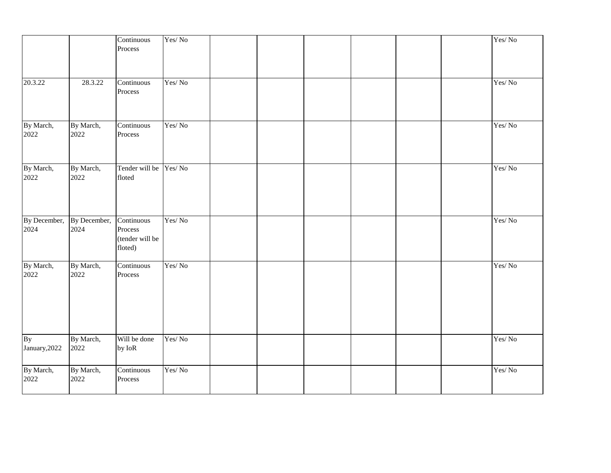|                      |                      | Continuous<br>Process                               | Yes/No |  |  |  | Yes/No |
|----------------------|----------------------|-----------------------------------------------------|--------|--|--|--|--------|
| 20.3.22              | 28.3.22              | Continuous<br>Process                               | Yes/No |  |  |  | Yes/No |
| By March,<br>2022    | By March,<br>2022    | Continuous<br>Process                               | Yes/No |  |  |  | Yes/No |
| By March,<br>2022    | By March,<br>2022    | Tender will be Yes/No<br>floted                     |        |  |  |  | Yes/No |
| By December,<br>2024 | By December,<br>2024 | Continuous<br>Process<br>(tender will be<br>floted) | Yes/No |  |  |  | Yes/No |
| By March,<br>2022    | By March,<br>2022    | Continuous<br>Process                               | Yes/No |  |  |  | Yes/No |
| By<br>January, 2022  | By March,<br>2022    | Will be done<br>by IoR                              | Yes/No |  |  |  | Yes/No |
| By March,<br>2022    | By March,<br>2022    | Continuous<br>Process                               | Yes/No |  |  |  | Yes/No |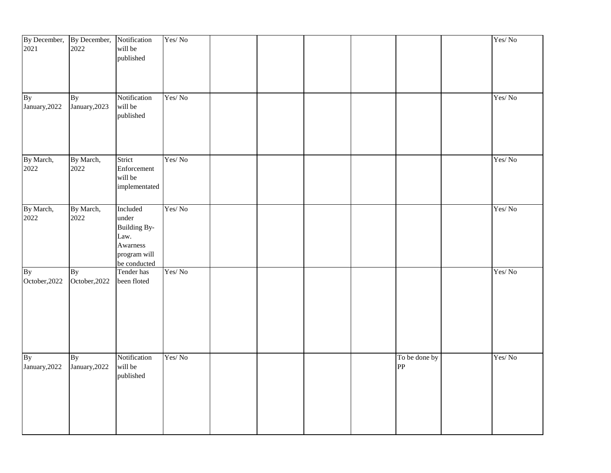| 2021                | By December, By December, Notification<br>2022 | will be<br>published                                                                         | Yes/No |  |  |                     | Yes/No |
|---------------------|------------------------------------------------|----------------------------------------------------------------------------------------------|--------|--|--|---------------------|--------|
| By<br>January, 2022 | <b>By</b><br>January, 2023                     | Notification<br>will be<br>published                                                         | Yes/No |  |  |                     | Yes/No |
| By March,<br>2022   | By March,<br>2022                              | Strict<br>Enforcement<br>will be<br>implementated                                            | Yes/No |  |  |                     | Yes/No |
| By March,<br>2022   | By March,<br>2022                              | Included<br>under<br><b>Building By-</b><br>Law.<br>Awarness<br>program will<br>be conducted | Yes/No |  |  |                     | Yes/No |
| By<br>October, 2022 | <b>By</b><br>October, 2022                     | Tender has<br>been floted                                                                    | Yes/No |  |  |                     | Yes/No |
| By<br>January, 2022 | <b>By</b><br>January, 2022                     | Notification<br>will be<br>published                                                         | Yes/No |  |  | To be done by<br>PP | Yes/No |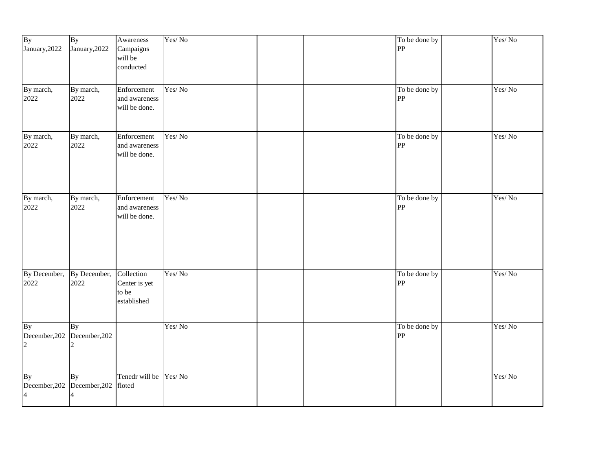| By<br>January, 2022         | By<br>January, 2022                      | Awareness<br>Campaigns<br>will be<br>conducted      | Yes/No |  |  | To be done by<br>PP | Yes/No |
|-----------------------------|------------------------------------------|-----------------------------------------------------|--------|--|--|---------------------|--------|
| By march,<br>2022           | By march,<br>2022                        | Enforcement<br>and awareness<br>will be done.       | Yes/No |  |  | To be done by<br>PP | Yes/No |
| By march,<br>2022           | By march,<br>2022                        | Enforcement<br>and awareness<br>will be done.       | Yes/No |  |  | To be done by<br>PP | Yes/No |
| By march,<br>2022           | By march,<br>2022                        | Enforcement<br>and awareness<br>will be done.       | Yes/No |  |  | To be done by<br>PP | Yes/No |
| By December,<br>2022        | By December,<br>2022                     | Collection<br>Center is yet<br>to be<br>established | Yes/No |  |  | To be done by<br>PP | Yes/No |
| <b>By</b><br>$\overline{c}$ | <b>By</b><br>December, 202 December, 202 |                                                     | Yes/No |  |  | To be done by<br>PP | Yes/No |
| By<br>$\overline{4}$        | <b>By</b><br>December, 202 December, 202 | Tenedr will be Yes/No<br>floted                     |        |  |  |                     | Yes/No |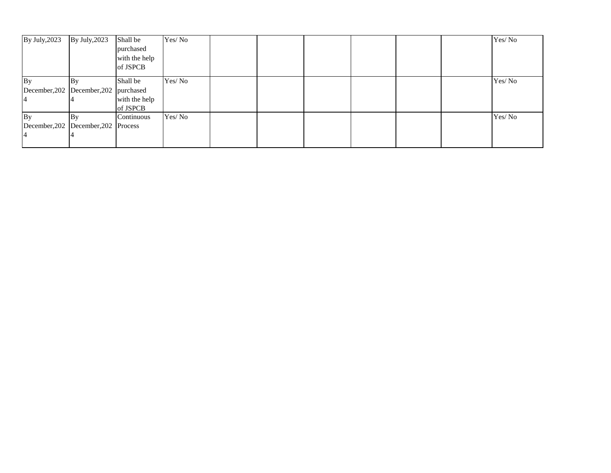| By July, 2023                         | By July, 2023 | Shall be      | Yes/No |  |  |  | Yes/No |
|---------------------------------------|---------------|---------------|--------|--|--|--|--------|
|                                       |               | purchased     |        |  |  |  |        |
|                                       |               | with the help |        |  |  |  |        |
|                                       |               | of JSPCB      |        |  |  |  |        |
| By                                    | By            | Shall be      | Yes/No |  |  |  | Yes/No |
| December, 202 December, 202 purchased |               |               |        |  |  |  |        |
|                                       |               | with the help |        |  |  |  |        |
|                                       |               | of JSPCB      |        |  |  |  |        |
| By                                    | By            | Continuous    | Yes/No |  |  |  | Yes/No |
| December, 202 December, 202 Process   |               |               |        |  |  |  |        |
|                                       |               |               |        |  |  |  |        |
|                                       |               |               |        |  |  |  |        |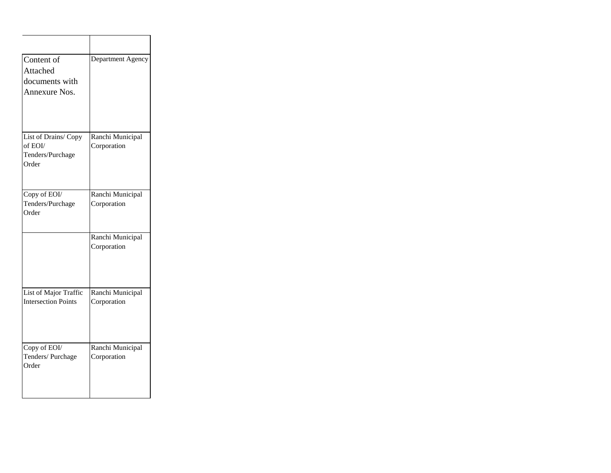| Content of<br>Attached<br>documents with<br>Annexure Nos.   | Department Agency               |
|-------------------------------------------------------------|---------------------------------|
| List of Drains/Copy<br>of EOI/<br>Tenders/Purchage<br>Order | Ranchi Municipal<br>Corporation |
| Copy of EOI/<br>Tenders/Purchage<br>Order                   | Ranchi Municipal<br>Corporation |
|                                                             | Ranchi Municipal<br>Corporation |
| List of Major Traffic<br><b>Intersection Points</b>         | Ranchi Municipal<br>Corporation |
| Copy of EOI/<br>Tenders/Purchage<br>Order                   | Ranchi Municipal<br>Corporation |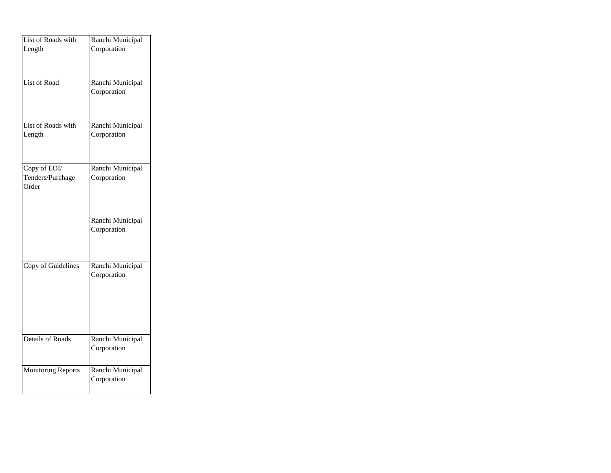| List of Roads with                        | Ranchi Municipal                |
|-------------------------------------------|---------------------------------|
| Length                                    | Corporation                     |
| List of Road                              | Ranchi Municipal<br>Corporation |
| List of Roads with<br>Length              | Ranchi Municipal<br>Corporation |
| Copy of EOI/<br>Tenders/Purchage<br>Order | Ranchi Municipal<br>Corporation |
|                                           | Ranchi Municipal<br>Corporation |
| Copy of Guidelines                        | Ranchi Municipal<br>Corporation |
| Details of Roads                          | Ranchi Municipal<br>Corporation |
| <b>Monitoring Reports</b>                 | Ranchi Municipal<br>Corporation |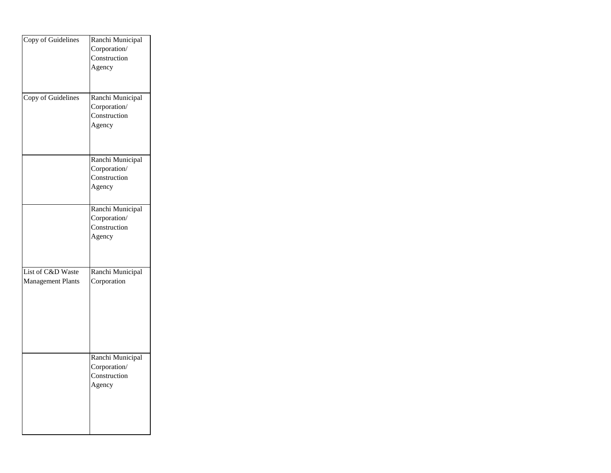| Copy of Guidelines                            | Ranchi Municipal<br>Corporation/<br>Construction<br>Agency |
|-----------------------------------------------|------------------------------------------------------------|
| <b>Copy of Guidelines</b>                     | Ranchi Municipal<br>Corporation/<br>Construction<br>Agency |
|                                               | Ranchi Municipal<br>Corporation/<br>Construction<br>Agency |
|                                               | Ranchi Municipal<br>Corporation/<br>Construction<br>Agency |
| List of C&D Waste<br><b>Management Plants</b> | Ranchi Municipal<br>Corporation                            |
|                                               | Ranchi Municipal<br>Corporation/<br>Construction<br>Agency |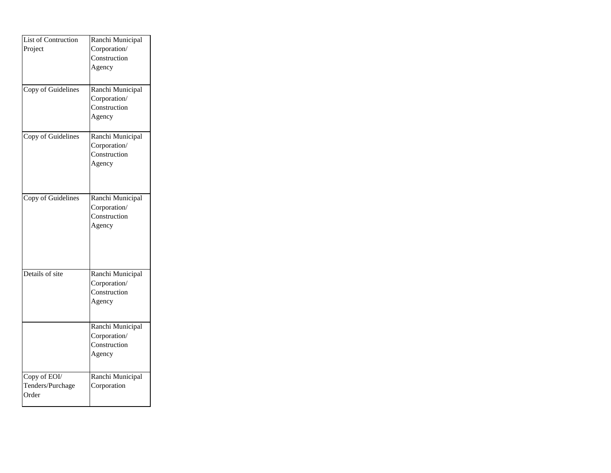| List of Contruction | Ranchi Municipal<br>Corporation/ |
|---------------------|----------------------------------|
| Project             | Construction                     |
|                     | Agency                           |
|                     |                                  |
|                     |                                  |
| Copy of Guidelines  | Ranchi Municipal                 |
|                     | Corporation/<br>Construction     |
|                     | Agency                           |
|                     |                                  |
| Copy of Guidelines  | Ranchi Municipal                 |
|                     | Corporation/                     |
|                     | Construction                     |
|                     | Agency                           |
|                     |                                  |
|                     |                                  |
| Copy of Guidelines  | Ranchi Municipal                 |
|                     | Corporation/                     |
|                     | Construction                     |
|                     | Agency                           |
|                     |                                  |
|                     |                                  |
|                     |                                  |
| Details of site     |                                  |
|                     | Ranchi Municipal<br>Corporation/ |
|                     | Construction                     |
|                     | Agency                           |
|                     |                                  |
|                     |                                  |
|                     | Ranchi Municipal                 |
|                     | Corporation/                     |
|                     | Construction                     |
|                     | Agency                           |
| Copy of EOI/        | Ranchi Municipal                 |
| Tenders/Purchage    | Corporation                      |
| Order               |                                  |
|                     |                                  |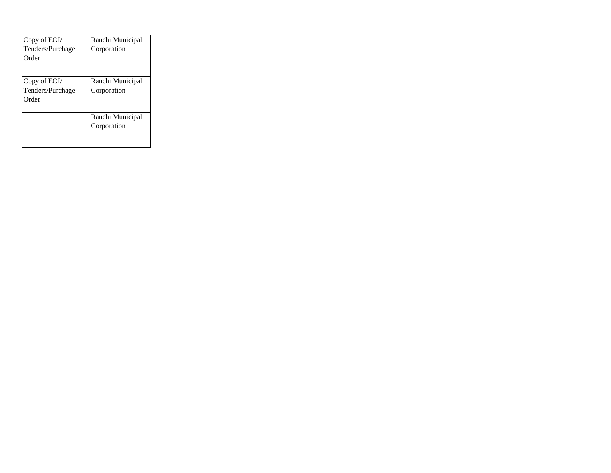| Copy of EOI/<br>Tenders/Purchage<br>Order | Ranchi Municipal<br>Corporation |
|-------------------------------------------|---------------------------------|
| Copy of EOI/<br>Tenders/Purchage<br>Order | Ranchi Municipal<br>Corporation |
|                                           | Ranchi Municipal<br>Corporation |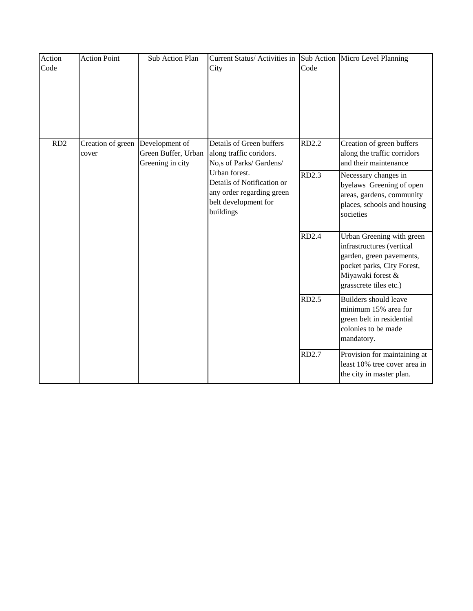| Action<br>Code  | <b>Action Point</b>        | Sub Action Plan                                           | Current Status/ Activities in<br>City                                                                         | Code         | Sub Action Micro Level Planning                                                                                                                                 |
|-----------------|----------------------------|-----------------------------------------------------------|---------------------------------------------------------------------------------------------------------------|--------------|-----------------------------------------------------------------------------------------------------------------------------------------------------------------|
| RD <sub>2</sub> | Creation of green<br>cover | Development of<br>Green Buffer, Urban<br>Greening in city | Details of Green buffers<br>along traffic coridors.<br>No,s of Parks/ Gardens/                                | RD2.2        | Creation of green buffers<br>along the traffic corridors<br>and their maintenance                                                                               |
|                 |                            |                                                           | Urban forest.<br>Details of Notification or<br>any order regarding green<br>belt development for<br>buildings | RD2.3        | Necessary changes in<br>byelaws Greening of open<br>areas, gardens, community<br>places, schools and housing<br>societies                                       |
|                 |                            |                                                           |                                                                                                               | RD2.4        | Urban Greening with green<br>infrastructures (vertical<br>garden, green pavements,<br>pocket parks, City Forest,<br>Miyawaki forest &<br>grasscrete tiles etc.) |
|                 |                            |                                                           |                                                                                                               | <b>RD2.5</b> | Builders should leave<br>minimum 15% area for<br>green belt in residential<br>colonies to be made<br>mandatory.                                                 |
|                 |                            |                                                           |                                                                                                               | RD2.7        | Provision for maintaining at<br>least 10% tree cover area in<br>the city in master plan.                                                                        |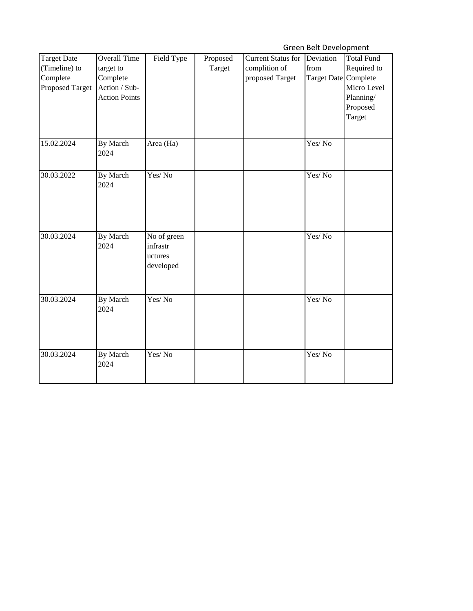Green Belt Development

|                                                                    |                                                                                       |                                                 |                    |                                                               | .                                         |                                                                                    |
|--------------------------------------------------------------------|---------------------------------------------------------------------------------------|-------------------------------------------------|--------------------|---------------------------------------------------------------|-------------------------------------------|------------------------------------------------------------------------------------|
| <b>Target Date</b><br>(Timeline) to<br>Complete<br>Proposed Target | <b>Overall Time</b><br>target to<br>Complete<br>Action / Sub-<br><b>Action Points</b> | Field Type                                      | Proposed<br>Target | <b>Current Status for</b><br>complition of<br>proposed Target | Deviation<br>from<br>Target Date Complete | <b>Total Fund</b><br>Required to<br>Micro Level<br>Planning/<br>Proposed<br>Target |
| 15.02.2024                                                         | By March<br>2024                                                                      | Area (Ha)                                       |                    |                                                               | Yes/No                                    |                                                                                    |
| 30.03.2022                                                         | By March<br>2024                                                                      | Yes/No                                          |                    |                                                               | Yes/No                                    |                                                                                    |
| 30.03.2024                                                         | By March<br>2024                                                                      | No of green<br>infrastr<br>uctures<br>developed |                    |                                                               | Yes/No                                    |                                                                                    |
| 30.03.2024                                                         | By March<br>2024                                                                      | Yes/No                                          |                    |                                                               | Yes/No                                    |                                                                                    |
| 30.03.2024                                                         | By March<br>2024                                                                      | Yes/No                                          |                    |                                                               | Yes/No                                    |                                                                                    |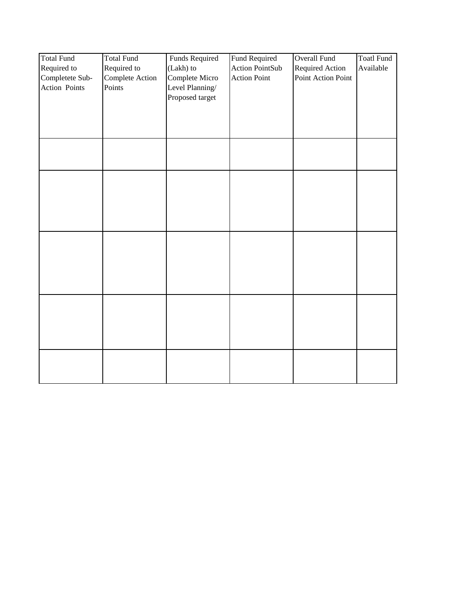| <b>Total Fund</b> | <b>Total Fund</b> | Funds Required  | <b>Fund Required</b>   | Overall Fund       | <b>Toatl Fund</b> |
|-------------------|-------------------|-----------------|------------------------|--------------------|-------------------|
| Required to       | Required to       | (Lakh) to       | <b>Action PointSub</b> | Required Action    | Available         |
| Completete Sub-   | Complete Action   | Complete Micro  | <b>Action Point</b>    | Point Action Point |                   |
| Action Points     | Points            | Level Planning/ |                        |                    |                   |
|                   |                   | Proposed target |                        |                    |                   |
|                   |                   |                 |                        |                    |                   |
|                   |                   |                 |                        |                    |                   |
|                   |                   |                 |                        |                    |                   |
|                   |                   |                 |                        |                    |                   |
|                   |                   |                 |                        |                    |                   |
|                   |                   |                 |                        |                    |                   |
|                   |                   |                 |                        |                    |                   |
|                   |                   |                 |                        |                    |                   |
|                   |                   |                 |                        |                    |                   |
|                   |                   |                 |                        |                    |                   |
|                   |                   |                 |                        |                    |                   |
|                   |                   |                 |                        |                    |                   |
|                   |                   |                 |                        |                    |                   |
|                   |                   |                 |                        |                    |                   |
|                   |                   |                 |                        |                    |                   |
|                   |                   |                 |                        |                    |                   |
|                   |                   |                 |                        |                    |                   |
|                   |                   |                 |                        |                    |                   |
|                   |                   |                 |                        |                    |                   |
|                   |                   |                 |                        |                    |                   |
|                   |                   |                 |                        |                    |                   |
|                   |                   |                 |                        |                    |                   |
|                   |                   |                 |                        |                    |                   |
|                   |                   |                 |                        |                    |                   |
|                   |                   |                 |                        |                    |                   |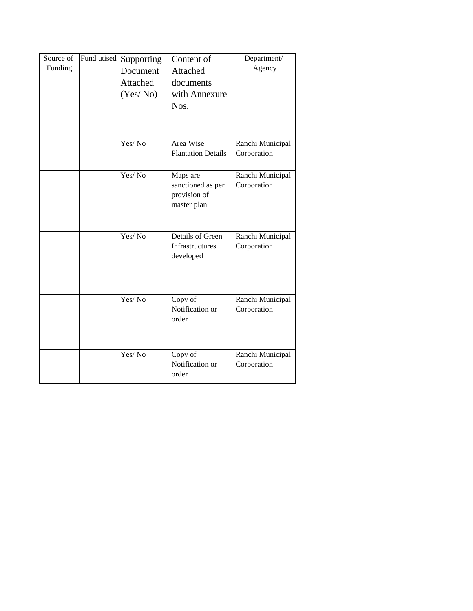| Source of<br>Funding | Fund utised | Supporting<br>Document<br>Attached<br>(Yes/No) | Content of<br>Attached<br>documents<br>with Annexure<br>Nos. | Department/<br>Agency           |
|----------------------|-------------|------------------------------------------------|--------------------------------------------------------------|---------------------------------|
|                      |             | Yes/No                                         | Area Wise<br><b>Plantation Details</b>                       | Ranchi Municipal<br>Corporation |
|                      |             | Yes/No                                         | Maps are<br>sanctioned as per<br>provision of<br>master plan | Ranchi Municipal<br>Corporation |
|                      |             | Yes/No                                         | Details of Green<br>Infrastructures<br>developed             | Ranchi Municipal<br>Corporation |
|                      |             | Yes/ No                                        | Copy of<br>Notification or<br>order                          | Ranchi Municipal<br>Corporation |
|                      |             | Yes/No                                         | Copy of<br>Notification or<br>order                          | Ranchi Municipal<br>Corporation |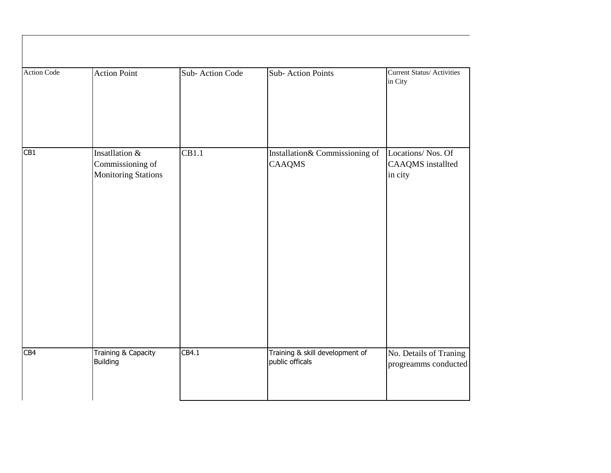| <b>Action Code</b> | <b>Action Point</b>                                              | Sub-Action Code    | Sub-Action Points                                  | <b>Current Status/ Activities</b><br>in City      |
|--------------------|------------------------------------------------------------------|--------------------|----------------------------------------------------|---------------------------------------------------|
|                    |                                                                  |                    |                                                    |                                                   |
| CB1                | Insatllation &<br>Commissioning of<br><b>Monitoring Stations</b> | $\overline{CB1.1}$ | Installation& Commissioning of<br><b>CAAQMS</b>    | Locations/Nos. Of<br>CAAQMS installted<br>in city |
| CB4                | Training & Capacity<br>Building                                  | CB4.1              | Training & skill development of<br>public officals | No. Details of Traning<br>progreamms conducted    |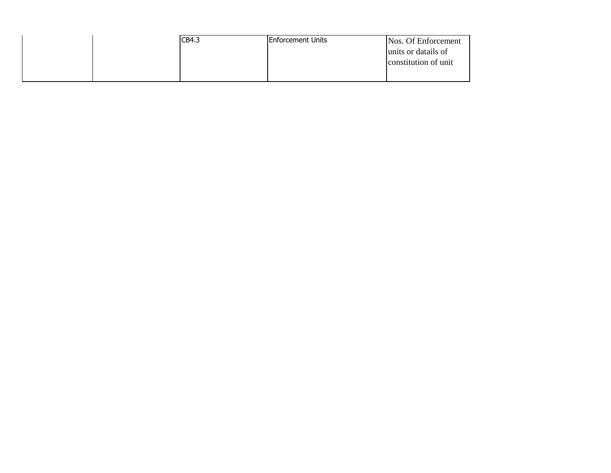| CB4.3 | <b>IEnforcement Units</b> | Nos. Of Enforcement  |
|-------|---------------------------|----------------------|
|       |                           | units or datails of  |
|       |                           | constitution of unit |
|       |                           |                      |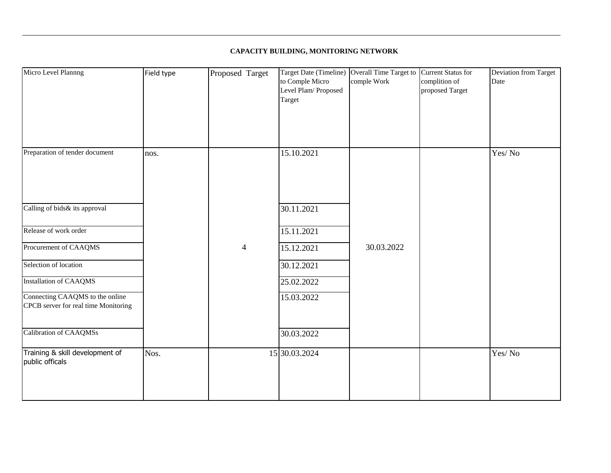## **CAPACITY BUILDING, MONITORING NETWORK**

| Micro Level Plannng                                                     | Field type | Proposed Target | to Comple Micro<br>Level Plam/Proposed<br>Target | Target Date (Timeline) Overall Time Target to Current Status for<br>comple Work | complition of<br>proposed Target | <b>Deviation from Target</b><br>Date |
|-------------------------------------------------------------------------|------------|-----------------|--------------------------------------------------|---------------------------------------------------------------------------------|----------------------------------|--------------------------------------|
| Preparation of tender document                                          | nos.       |                 | 15.10.2021                                       |                                                                                 |                                  | Yes/No                               |
| Calling of bids& its approval                                           |            |                 | 30.11.2021                                       |                                                                                 |                                  |                                      |
| Release of work order                                                   |            |                 | 15.11.2021                                       |                                                                                 |                                  |                                      |
| Procurement of CAAQMS                                                   |            | $\overline{4}$  | 15.12.2021                                       | 30.03.2022                                                                      |                                  |                                      |
| Selection of location                                                   |            |                 | 30.12.2021                                       |                                                                                 |                                  |                                      |
| <b>Installation of CAAQMS</b>                                           |            |                 | 25.02.2022                                       |                                                                                 |                                  |                                      |
| Connecting CAAQMS to the online<br>CPCB server for real time Monitoring |            |                 | 15.03.2022                                       |                                                                                 |                                  |                                      |
| Calibration of CAAQMSs                                                  |            |                 | 30.03.2022                                       |                                                                                 |                                  |                                      |
| Training & skill development of<br>public officals                      | Nos.       |                 | 15 30.03.2024                                    |                                                                                 |                                  | Yes/No                               |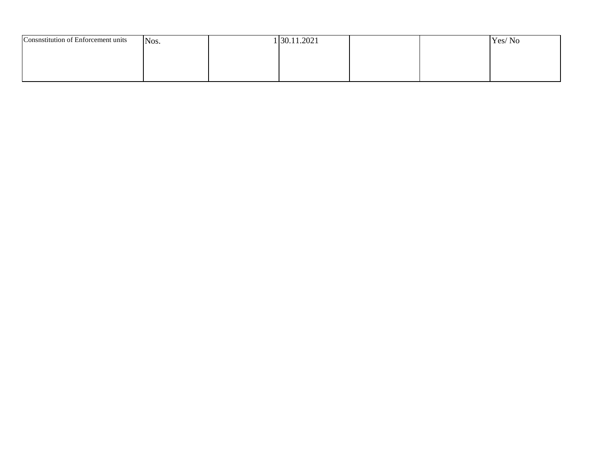| Consnstitution of Enforcement units | Nos. | 130.11.2021 |  | Yes/No |
|-------------------------------------|------|-------------|--|--------|
|                                     |      |             |  |        |
|                                     |      |             |  |        |
|                                     |      |             |  |        |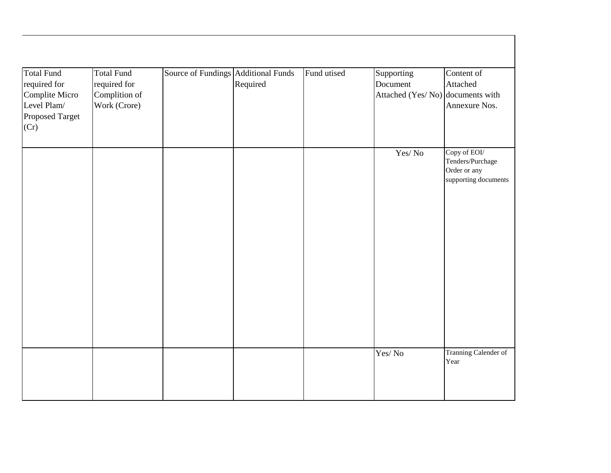| <b>Total Fund</b> | <b>Total Fund</b> | Source of Fundings Additional Funds |          | Fund utised | Supporting                       | Content of           |
|-------------------|-------------------|-------------------------------------|----------|-------------|----------------------------------|----------------------|
| required for      | required for      |                                     | Required |             | Document                         | Attached             |
| Complite Micro    | Complition of     |                                     |          |             | Attached (Yes/No) documents with |                      |
| Level Plam/       | Work (Crore)      |                                     |          |             |                                  | Annexure Nos.        |
| Proposed Target   |                   |                                     |          |             |                                  |                      |
| (Cr)              |                   |                                     |          |             |                                  |                      |
|                   |                   |                                     |          |             |                                  |                      |
|                   |                   |                                     |          |             | Yes/No                           | Copy of EOI/         |
|                   |                   |                                     |          |             |                                  | Tenders/Purchage     |
|                   |                   |                                     |          |             |                                  | Order or any         |
|                   |                   |                                     |          |             |                                  | supporting documents |
|                   |                   |                                     |          |             |                                  |                      |
|                   |                   |                                     |          |             |                                  |                      |
|                   |                   |                                     |          |             |                                  |                      |
|                   |                   |                                     |          |             |                                  |                      |
|                   |                   |                                     |          |             |                                  |                      |
|                   |                   |                                     |          |             |                                  |                      |
|                   |                   |                                     |          |             |                                  |                      |
|                   |                   |                                     |          |             |                                  |                      |
|                   |                   |                                     |          |             |                                  |                      |
|                   |                   |                                     |          |             |                                  |                      |
|                   |                   |                                     |          |             |                                  |                      |
|                   |                   |                                     |          |             |                                  |                      |
|                   |                   |                                     |          |             |                                  |                      |
|                   |                   |                                     |          |             |                                  |                      |
|                   |                   |                                     |          |             | Yes/No                           | Tranning Calender of |
|                   |                   |                                     |          |             |                                  | Year                 |
|                   |                   |                                     |          |             |                                  |                      |
|                   |                   |                                     |          |             |                                  |                      |
|                   |                   |                                     |          |             |                                  |                      |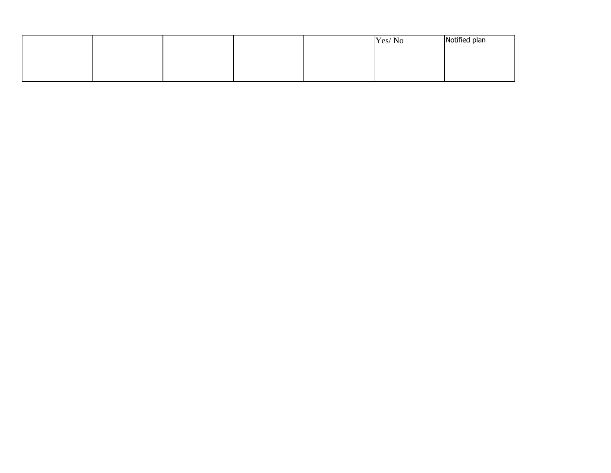|  |  | Yes/No | Notified plan |
|--|--|--------|---------------|
|  |  |        |               |
|  |  |        |               |
|  |  |        |               |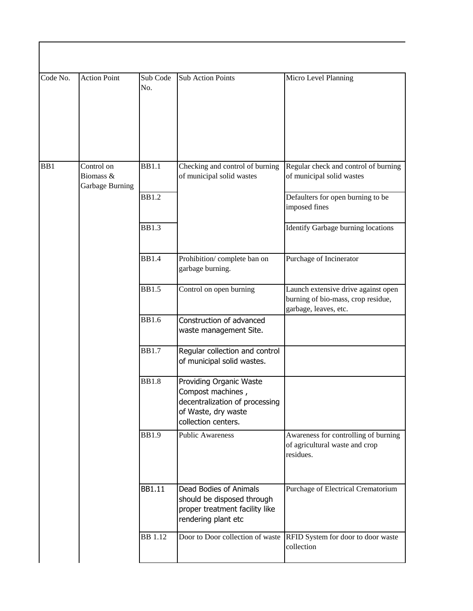| Code No. | <b>Action Point</b>                        | Sub Code<br>No. | <b>Sub Action Points</b>                                                                                                     | Micro Level Planning                                                                               |
|----------|--------------------------------------------|-----------------|------------------------------------------------------------------------------------------------------------------------------|----------------------------------------------------------------------------------------------------|
| BB1      | Control on<br>Biomass &<br>Garbage Burning | <b>BB1.1</b>    | Checking and control of burning<br>of municipal solid wastes                                                                 | Regular check and control of burning<br>of municipal solid wastes                                  |
|          |                                            | <b>BB1.2</b>    |                                                                                                                              | Defaulters for open burning to be<br>imposed fines                                                 |
|          |                                            | <b>BB1.3</b>    |                                                                                                                              | Identify Garbage burning locations                                                                 |
|          |                                            | <b>BB1.4</b>    | Prohibition/complete ban on<br>garbage burning.                                                                              | Purchage of Incinerator                                                                            |
|          |                                            | <b>BB1.5</b>    | Control on open burning                                                                                                      | Launch extensive drive against open<br>burning of bio-mass, crop residue,<br>garbage, leaves, etc. |
|          |                                            | <b>BB1.6</b>    | Construction of advanced<br>waste management Site.                                                                           |                                                                                                    |
|          |                                            | <b>BB1.7</b>    | Regular collection and control<br>of municipal solid wastes.                                                                 |                                                                                                    |
|          |                                            | <b>BB1.8</b>    | Providing Organic Waste<br>Compost machines,<br>decentralization of processing<br>of Waste, dry waste<br>collection centers. |                                                                                                    |
|          |                                            | <b>BB1.9</b>    | <b>Public Awareness</b>                                                                                                      | Awareness for controlling of burning<br>of agricultural waste and crop<br>residues.                |
|          |                                            | <b>BB1.11</b>   | Dead Bodies of Animals<br>should be disposed through<br>proper treatment facility like<br>rendering plant etc                | Purchage of Electrical Crematorium                                                                 |
|          |                                            | <b>BB</b> 1.12  | Door to Door collection of waste                                                                                             | RFID System for door to door waste<br>collection                                                   |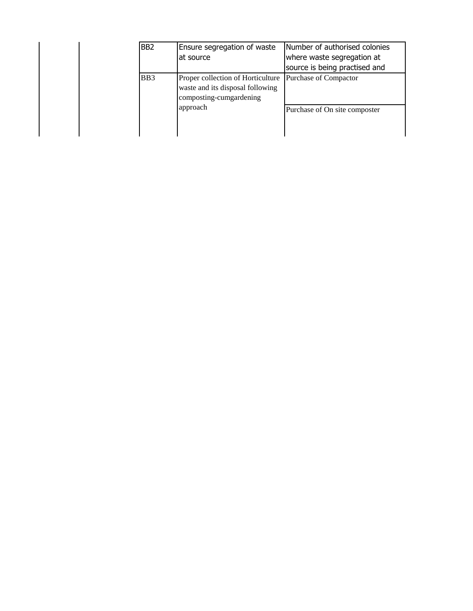| B <sub>B2</sub>  | Ensure segregation of waste<br>at source                                                         | Number of authorised colonies<br>where waste segregation at<br>source is being practised and |
|------------------|--------------------------------------------------------------------------------------------------|----------------------------------------------------------------------------------------------|
| B <sub>B</sub> 3 | Proper collection of Horticulture<br>waste and its disposal following<br>composting-cumgardening | Purchase of Compactor                                                                        |
|                  | approach                                                                                         | Purchase of On site composter                                                                |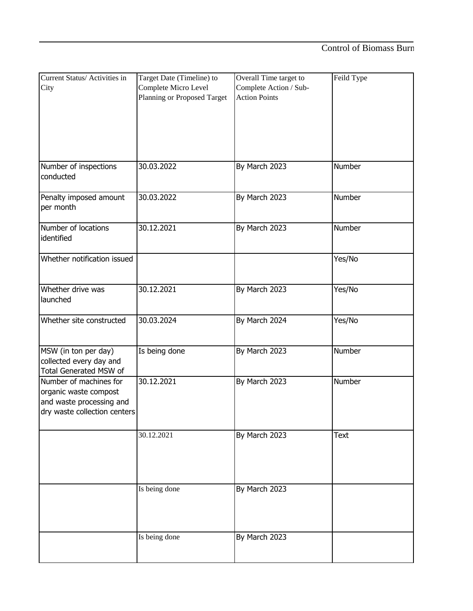| Current Status/ Activities in | Target Date (Timeline) to   | Overall Time target to | Feild Type |
|-------------------------------|-----------------------------|------------------------|------------|
| City                          | Complete Micro Level        | Complete Action / Sub- |            |
|                               | Planning or Proposed Target | <b>Action Points</b>   |            |
|                               |                             |                        |            |
|                               |                             |                        |            |
|                               |                             |                        |            |
|                               |                             |                        |            |
|                               |                             |                        |            |
|                               |                             |                        |            |
| Number of inspections         | 30.03.2022                  | By March 2023          | Number     |
| conducted                     |                             |                        |            |
|                               |                             |                        |            |
| Penalty imposed amount        | 30.03.2022                  | By March 2023          | Number     |
| per month                     |                             |                        |            |
|                               |                             |                        |            |
| Number of locations           | 30.12.2021                  |                        | Number     |
| identified                    |                             | By March 2023          |            |
|                               |                             |                        |            |
|                               |                             |                        |            |
| Whether notification issued   |                             |                        | Yes/No     |
|                               |                             |                        |            |
|                               |                             |                        |            |
| Whether drive was             | 30.12.2021                  | By March 2023          | Yes/No     |
| launched                      |                             |                        |            |
|                               |                             |                        |            |
| Whether site constructed      | 30.03.2024                  | By March 2024          | Yes/No     |
|                               |                             |                        |            |
|                               |                             |                        |            |
| MSW (in ton per day)          | Is being done               | By March 2023          | Number     |
| collected every day and       |                             |                        |            |
| <b>Total Generated MSW of</b> |                             |                        |            |
| Number of machines for        | 30.12.2021                  | By March 2023          | Number     |
| organic waste compost         |                             |                        |            |
| and waste processing and      |                             |                        |            |
| dry waste collection centers  |                             |                        |            |
|                               |                             |                        |            |
|                               |                             |                        |            |
|                               | 30.12.2021                  | By March 2023          | Text       |
|                               |                             |                        |            |
|                               |                             |                        |            |
|                               |                             |                        |            |
|                               |                             |                        |            |
|                               | Is being done               | By March 2023          |            |
|                               |                             |                        |            |
|                               |                             |                        |            |
|                               |                             |                        |            |
|                               |                             |                        |            |
|                               | Is being done               | By March 2023          |            |
|                               |                             |                        |            |
|                               |                             |                        |            |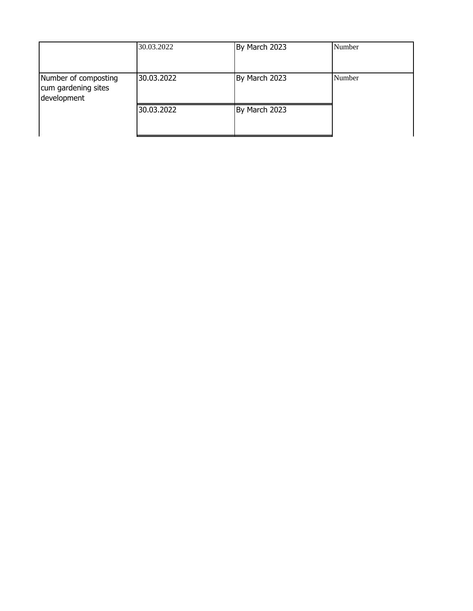|                                                            | 30.03.2022 | By March 2023 | Number |
|------------------------------------------------------------|------------|---------------|--------|
| Number of composting<br>cum gardening sites<br>development | 30.03.2022 | By March 2023 | Number |
|                                                            | 30.03.2022 | By March 2023 |        |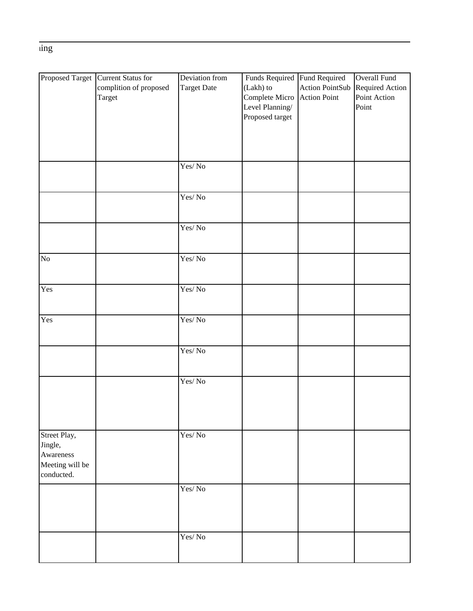$\overline{\text{ing}}$ 

|                 | Proposed Target Current Status for | Deviation from                         | Funds Required Fund Required |                        | Overall Fund    |
|-----------------|------------------------------------|----------------------------------------|------------------------------|------------------------|-----------------|
|                 | complition of proposed             | <b>Target Date</b>                     | (Lakh) to                    | <b>Action PointSub</b> | Required Action |
|                 | Target                             |                                        | Complete Micro               | <b>Action Point</b>    | Point Action    |
|                 |                                    |                                        | Level Planning/              |                        | Point           |
|                 |                                    |                                        | Proposed target              |                        |                 |
|                 |                                    |                                        |                              |                        |                 |
|                 |                                    |                                        |                              |                        |                 |
|                 |                                    |                                        |                              |                        |                 |
|                 |                                    |                                        |                              |                        |                 |
|                 |                                    | Yes/No                                 |                              |                        |                 |
|                 |                                    |                                        |                              |                        |                 |
|                 |                                    |                                        |                              |                        |                 |
|                 |                                    | $\operatorname{Yes}/\operatorname{No}$ |                              |                        |                 |
|                 |                                    |                                        |                              |                        |                 |
|                 |                                    |                                        |                              |                        |                 |
|                 |                                    | Yes/No                                 |                              |                        |                 |
|                 |                                    |                                        |                              |                        |                 |
|                 |                                    |                                        |                              |                        |                 |
| No              |                                    | Yes/No                                 |                              |                        |                 |
|                 |                                    |                                        |                              |                        |                 |
|                 |                                    |                                        |                              |                        |                 |
| Yes             |                                    | Yes/No                                 |                              |                        |                 |
|                 |                                    |                                        |                              |                        |                 |
|                 |                                    |                                        |                              |                        |                 |
| Yes             |                                    | Yes/No                                 |                              |                        |                 |
|                 |                                    |                                        |                              |                        |                 |
|                 |                                    |                                        |                              |                        |                 |
|                 |                                    | Yes/No                                 |                              |                        |                 |
|                 |                                    |                                        |                              |                        |                 |
|                 |                                    |                                        |                              |                        |                 |
|                 |                                    | Yes/No                                 |                              |                        |                 |
|                 |                                    |                                        |                              |                        |                 |
|                 |                                    |                                        |                              |                        |                 |
|                 |                                    |                                        |                              |                        |                 |
|                 |                                    |                                        |                              |                        |                 |
|                 |                                    |                                        |                              |                        |                 |
| Street Play,    |                                    | Yes/No                                 |                              |                        |                 |
| Jingle,         |                                    |                                        |                              |                        |                 |
| Awareness       |                                    |                                        |                              |                        |                 |
| Meeting will be |                                    |                                        |                              |                        |                 |
| conducted.      |                                    |                                        |                              |                        |                 |
|                 |                                    | Yes/No                                 |                              |                        |                 |
|                 |                                    |                                        |                              |                        |                 |
|                 |                                    |                                        |                              |                        |                 |
|                 |                                    |                                        |                              |                        |                 |
|                 |                                    |                                        |                              |                        |                 |
|                 |                                    | Yes/No                                 |                              |                        |                 |
|                 |                                    |                                        |                              |                        |                 |
|                 |                                    |                                        |                              |                        |                 |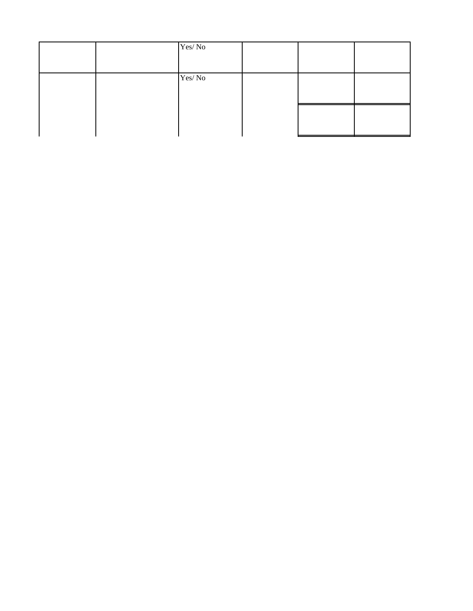|  | Yes/No |  |  |
|--|--------|--|--|
|  | Yes/No |  |  |
|  |        |  |  |
|  |        |  |  |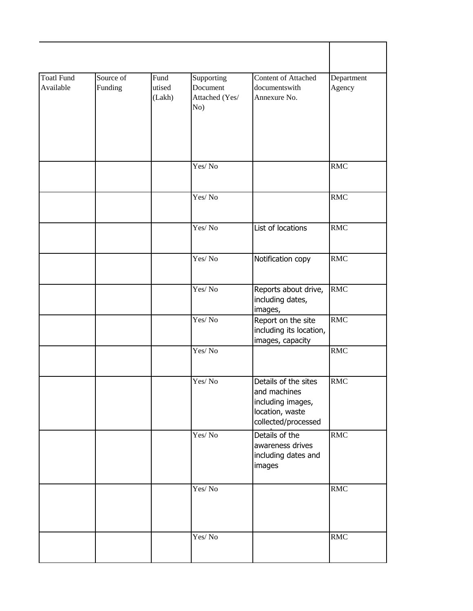| <b>Toatl Fund</b><br>Available | Source of<br>Funding | Fund<br>utised<br>(Lakh) | Supporting<br>Document<br>Attached (Yes/<br>No) | Content of Attached<br>documentswith<br>Annexure No.                                                | Department<br>Agency |
|--------------------------------|----------------------|--------------------------|-------------------------------------------------|-----------------------------------------------------------------------------------------------------|----------------------|
|                                |                      |                          | Yes/No                                          |                                                                                                     | <b>RMC</b>           |
|                                |                      |                          | Yes/No                                          |                                                                                                     | <b>RMC</b>           |
|                                |                      |                          | Yes/No                                          | List of locations                                                                                   | <b>RMC</b>           |
|                                |                      |                          | Yes/No                                          | Notification copy                                                                                   | <b>RMC</b>           |
|                                |                      |                          | Yes/No                                          | Reports about drive,<br>including dates,<br>images,                                                 | <b>RMC</b>           |
|                                |                      |                          | Yes/No                                          | Report on the site<br>including its location,<br>images, capacity                                   | <b>RMC</b>           |
|                                |                      |                          | Yes/No                                          |                                                                                                     | <b>RMC</b>           |
|                                |                      |                          | Yes/No                                          | Details of the sites<br>and machines<br>including images,<br>location, waste<br>collected/processed | <b>RMC</b>           |
|                                |                      |                          | Yes/No                                          | Details of the<br>awareness drives<br>including dates and<br>images                                 | <b>RMC</b>           |
|                                |                      |                          | Yes/No                                          |                                                                                                     | <b>RMC</b>           |
|                                |                      |                          | Yes/No                                          |                                                                                                     | <b>RMC</b>           |